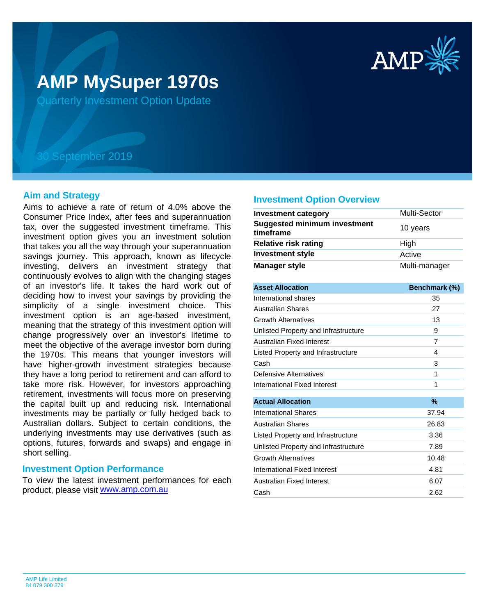

# **AMP MySuper 1970s**

Quarterly Investment Option Update

## 30 September 2019

## **Aim and Strategy**

Aims to achieve a rate of return of 4.0% above the Consumer Price Index, after fees and superannuation tax, over the suggested investment timeframe. This investment option gives you an investment solution that takes you all the way through your superannuation savings journey. This approach, known as lifecycle investing, delivers an investment strategy that continuously evolves to align with the changing stages of an investor's life. It takes the hard work out of deciding how to invest your savings by providing the simplicity of a single investment choice. This investment option is an age-based investment, meaning that the strategy of this investment option will change progressively over an investor's lifetime to meet the objective of the average investor born during the 1970s. This means that younger investors will have higher-growth investment strategies because they have a long period to retirement and can afford to take more risk. However, for investors approaching retirement, investments will focus more on preserving the capital built up and reducing risk. International investments may be partially or fully hedged back to Australian dollars. Subject to certain conditions, the underlying investments may use derivatives (such as options, futures, forwards and swaps) and engage in short selling.

## **Investment Option Performance**

product, please visit **[www.amp.com.au](https://www.amp.com.au)** To view the latest investment performances for each

### **Investment Option Overview**

| <b>Investment category</b>                       | <b>Multi-Sector</b> |
|--------------------------------------------------|---------------------|
| <b>Suggested minimum investment</b><br>timeframe | 10 years            |
| <b>Relative risk rating</b>                      | High                |
| <b>Investment style</b>                          | Active              |
| Manager style                                    | Multi-manager       |
|                                                  |                     |
| <b>Asset Allocation</b>                          | Benchmark (%)       |
|                                                  |                     |

| International shares                 | 35    |
|--------------------------------------|-------|
| Australian Shares                    | 27    |
| Growth Alternatives                  | 13    |
| Unlisted Property and Infrastructure | 9     |
| Australian Fixed Interest            | 7     |
| Listed Property and Infrastructure   | 4     |
| Cash                                 | 3     |
| Defensive Alternatives               | 1     |
| International Fixed Interest         | 1     |
|                                      |       |
| <b>Actual Allocation</b>             | %     |
| International Shares                 | 37.94 |
| <b>Australian Shares</b>             | 26.83 |
| Listed Property and Infrastructure   | 3.36  |
| Unlisted Property and Infrastructure | 7.89  |
| <b>Growth Alternatives</b>           | 10.48 |
| International Fixed Interest         | 4.81  |
| Australian Fixed Interest            | 6.07  |
| Cash                                 | 2.62  |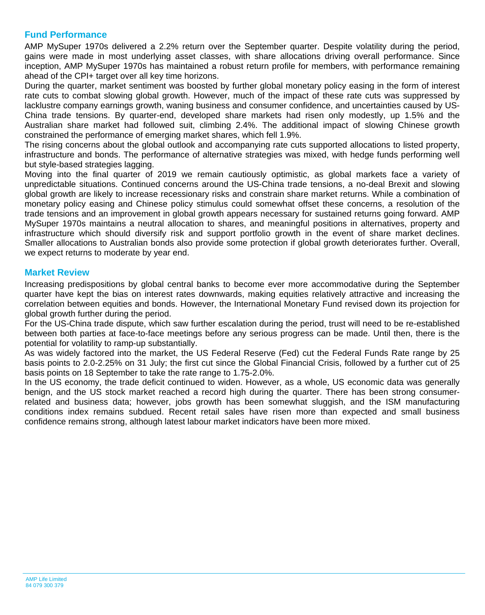## **Fund Performance**

AMP MySuper 1970s delivered a 2.2% return over the September quarter. Despite volatility during the period, gains were made in most underlying asset classes, with share allocations driving overall performance. Since inception, AMP MySuper 1970s has maintained a robust return profile for members, with performance remaining ahead of the CPI+ target over all key time horizons.

During the quarter, market sentiment was boosted by further global monetary policy easing in the form of interest rate cuts to combat slowing global growth. However, much of the impact of these rate cuts was suppressed by lacklustre company earnings growth, waning business and consumer confidence, and uncertainties caused by US-China trade tensions. By quarter-end, developed share markets had risen only modestly, up 1.5% and the Australian share market had followed suit, climbing 2.4%. The additional impact of slowing Chinese growth constrained the performance of emerging market shares, which fell 1.9%.

The rising concerns about the global outlook and accompanying rate cuts supported allocations to listed property, infrastructure and bonds. The performance of alternative strategies was mixed, with hedge funds performing well but style-based strategies lagging.

Moving into the final quarter of 2019 we remain cautiously optimistic, as global markets face a variety of unpredictable situations. Continued concerns around the US-China trade tensions, a no-deal Brexit and slowing global growth are likely to increase recessionary risks and constrain share market returns. While a combination of monetary policy easing and Chinese policy stimulus could somewhat offset these concerns, a resolution of the trade tensions and an improvement in global growth appears necessary for sustained returns going forward. AMP MySuper 1970s maintains a neutral allocation to shares, and meaningful positions in alternatives, property and infrastructure which should diversify risk and support portfolio growth in the event of share market declines. Smaller allocations to Australian bonds also provide some protection if global growth deteriorates further. Overall, we expect returns to moderate by year end.

## **Market Review**

Increasing predispositions by global central banks to become ever more accommodative during the September quarter have kept the bias on interest rates downwards, making equities relatively attractive and increasing the correlation between equities and bonds. However, the International Monetary Fund revised down its projection for global growth further during the period.

For the US-China trade dispute, which saw further escalation during the period, trust will need to be re-established between both parties at face-to-face meetings before any serious progress can be made. Until then, there is the potential for volatility to ramp-up substantially.

As was widely factored into the market, the US Federal Reserve (Fed) cut the Federal Funds Rate range by 25 basis points to 2.0-2.25% on 31 July; the first cut since the Global Financial Crisis, followed by a further cut of 25 basis points on 18 September to take the rate range to 1.75-2.0%.

In the US economy, the trade deficit continued to widen. However, as a whole, US economic data was generally benign, and the US stock market reached a record high during the quarter. There has been strong consumerrelated and business data; however, jobs growth has been somewhat sluggish, and the ISM manufacturing conditions index remains subdued. Recent retail sales have risen more than expected and small business confidence remains strong, although latest labour market indicators have been more mixed.